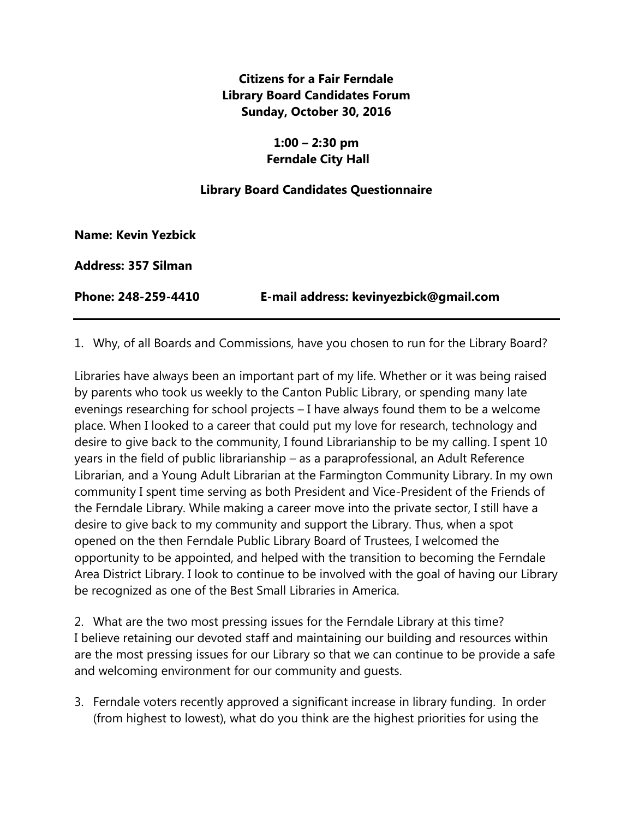# **Citizens for a Fair Ferndale Library Board Candidates Forum Sunday, October 30, 2016**

## **1:00 – 2:30 pm Ferndale City Hall**

## **Library Board Candidates Questionnaire**

**Name: Kevin Yezbick**

**Address: 357 Silman**

**Phone: 248-259-4410 E-mail address: kevinyezbick@gmail.com**

1. Why, of all Boards and Commissions, have you chosen to run for the Library Board?

Libraries have always been an important part of my life. Whether or it was being raised by parents who took us weekly to the Canton Public Library, or spending many late evenings researching for school projects – I have always found them to be a welcome place. When I looked to a career that could put my love for research, technology and desire to give back to the community, I found Librarianship to be my calling. I spent 10 years in the field of public librarianship – as a paraprofessional, an Adult Reference Librarian, and a Young Adult Librarian at the Farmington Community Library. In my own community I spent time serving as both President and Vice-President of the Friends of the Ferndale Library. While making a career move into the private sector, I still have a desire to give back to my community and support the Library. Thus, when a spot opened on the then Ferndale Public Library Board of Trustees, I welcomed the opportunity to be appointed, and helped with the transition to becoming the Ferndale Area District Library. I look to continue to be involved with the goal of having our Library be recognized as one of the Best Small Libraries in America.

2. What are the two most pressing issues for the Ferndale Library at this time? I believe retaining our devoted staff and maintaining our building and resources within are the most pressing issues for our Library so that we can continue to be provide a safe and welcoming environment for our community and guests.

3. Ferndale voters recently approved a significant increase in library funding. In order (from highest to lowest), what do you think are the highest priorities for using the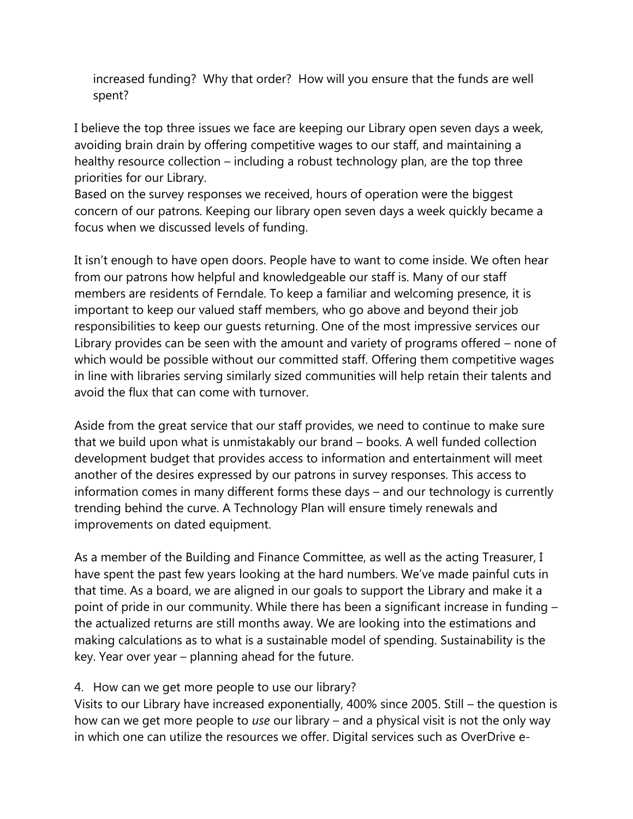increased funding? Why that order? How will you ensure that the funds are well spent?

I believe the top three issues we face are keeping our Library open seven days a week, avoiding brain drain by offering competitive wages to our staff, and maintaining a healthy resource collection – including a robust technology plan, are the top three priorities for our Library.

Based on the survey responses we received, hours of operation were the biggest concern of our patrons. Keeping our library open seven days a week quickly became a focus when we discussed levels of funding.

It isn't enough to have open doors. People have to want to come inside. We often hear from our patrons how helpful and knowledgeable our staff is. Many of our staff members are residents of Ferndale. To keep a familiar and welcoming presence, it is important to keep our valued staff members, who go above and beyond their job responsibilities to keep our guests returning. One of the most impressive services our Library provides can be seen with the amount and variety of programs offered – none of which would be possible without our committed staff. Offering them competitive wages in line with libraries serving similarly sized communities will help retain their talents and avoid the flux that can come with turnover.

Aside from the great service that our staff provides, we need to continue to make sure that we build upon what is unmistakably our brand – books. A well funded collection development budget that provides access to information and entertainment will meet another of the desires expressed by our patrons in survey responses. This access to information comes in many different forms these days – and our technology is currently trending behind the curve. A Technology Plan will ensure timely renewals and improvements on dated equipment.

As a member of the Building and Finance Committee, as well as the acting Treasurer, I have spent the past few years looking at the hard numbers. We've made painful cuts in that time. As a board, we are aligned in our goals to support the Library and make it a point of pride in our community. While there has been a significant increase in funding – the actualized returns are still months away. We are looking into the estimations and making calculations as to what is a sustainable model of spending. Sustainability is the key. Year over year – planning ahead for the future.

#### 4. How can we get more people to use our library?

Visits to our Library have increased exponentially, 400% since 2005. Still – the question is how can we get more people to *use* our library – and a physical visit is not the only way in which one can utilize the resources we offer. Digital services such as OverDrive e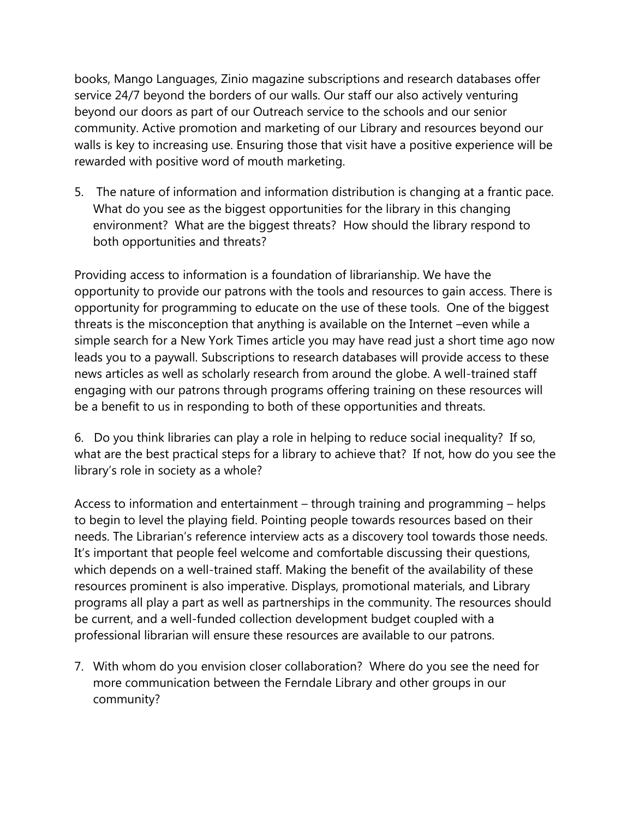books, Mango Languages, Zinio magazine subscriptions and research databases offer service 24/7 beyond the borders of our walls. Our staff our also actively venturing beyond our doors as part of our Outreach service to the schools and our senior community. Active promotion and marketing of our Library and resources beyond our walls is key to increasing use. Ensuring those that visit have a positive experience will be rewarded with positive word of mouth marketing.

5. The nature of information and information distribution is changing at a frantic pace. What do you see as the biggest opportunities for the library in this changing environment? What are the biggest threats? How should the library respond to both opportunities and threats?

Providing access to information is a foundation of librarianship. We have the opportunity to provide our patrons with the tools and resources to gain access. There is opportunity for programming to educate on the use of these tools. One of the biggest threats is the misconception that anything is available on the Internet –even while a simple search for a New York Times article you may have read just a short time ago now leads you to a paywall. Subscriptions to research databases will provide access to these news articles as well as scholarly research from around the globe. A well-trained staff engaging with our patrons through programs offering training on these resources will be a benefit to us in responding to both of these opportunities and threats.

6. Do you think libraries can play a role in helping to reduce social inequality? If so, what are the best practical steps for a library to achieve that? If not, how do you see the library's role in society as a whole?

Access to information and entertainment – through training and programming – helps to begin to level the playing field. Pointing people towards resources based on their needs. The Librarian's reference interview acts as a discovery tool towards those needs. It's important that people feel welcome and comfortable discussing their questions, which depends on a well-trained staff. Making the benefit of the availability of these resources prominent is also imperative. Displays, promotional materials, and Library programs all play a part as well as partnerships in the community. The resources should be current, and a well-funded collection development budget coupled with a professional librarian will ensure these resources are available to our patrons.

7. With whom do you envision closer collaboration? Where do you see the need for more communication between the Ferndale Library and other groups in our community?